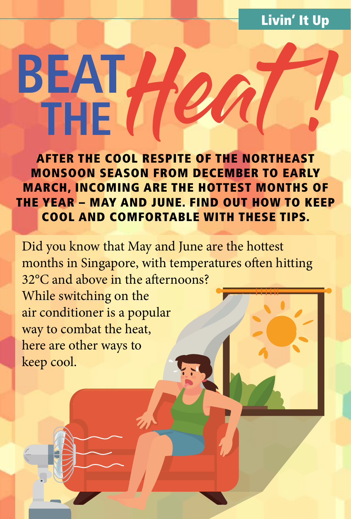# Livin' It Up

# Heat **BEAT THE** !

AFTER THE COOL RESPITE OF THE NORTHEAST MONSOON SEASON FROM DECEMBER TO EARLY MARCH, INCOMING ARE THE HOTTEST MONTHS OF THE YEAR – MAY AND JUNE. FIND OUT HOW TO KEEP COOL AND COMFORTABLE WITH THESE TIPS.

Did you know that May and June are the hottest months in Singapore, with temperatures often hitting 32°C and above in the afternoons?

While switching on the air conditioner is a popular way to combat the heat, here are other ways to keep cool.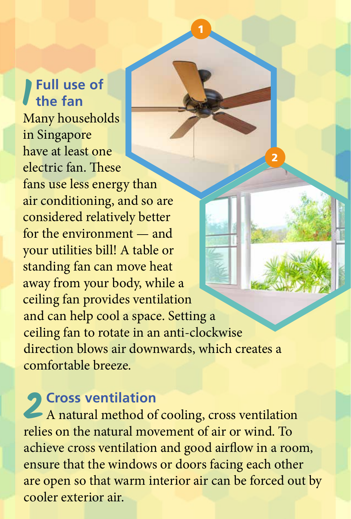## **1 Full use of the fan** Many households in Singapore have at least one electric fan. These fans use less energy than air conditioning, and so are considered relatively better for the environment — and your utilities bill! A table or standing fan can move heat away from your body, while a ceiling fan provides ventilation 2 and can help cool a space. Setting a ceiling fan to rotate in an anti-clockwise direction blows air downwards, which creates a comfortable breeze.

1

2 Cross ventilation<br>A natural method of A natural method of cooling, cross ventilation relies on the natural movement of air or wind. To achieve cross ventilation and good airflow in a room, ensure that the windows or doors facing each other are open so that warm interior air can be forced out by cooler exterior air.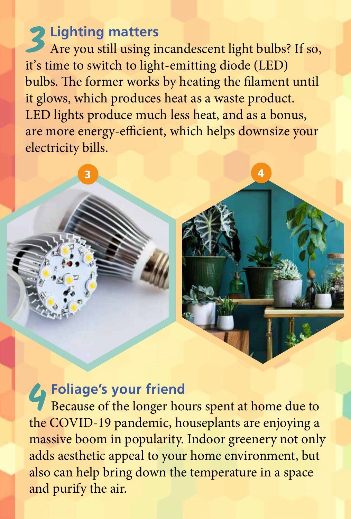**3Lighting matters**<br>Are you still using is Are you still using incandescent light bulbs? If so, it's time to switch to light-emitting diode (LED) bulbs. The former works by heating the filament until it glows, which produces heat as a waste product. LED lights produce much less heat, and as a bonus, are more energy-efficient, which helps downsize your electricity bills.

 $\overline{\mathbf{3}}$  3 4

**4Foliage's your friend<br>Because of the longer hours** Because of the longer hours spent at home due to the COVID-19 pandemic, houseplants are enjoying a massive boom in popularity. Indoor greenery not only adds aesthetic appeal to your home environment, but also can help bring down the temperature in a space and purify the air.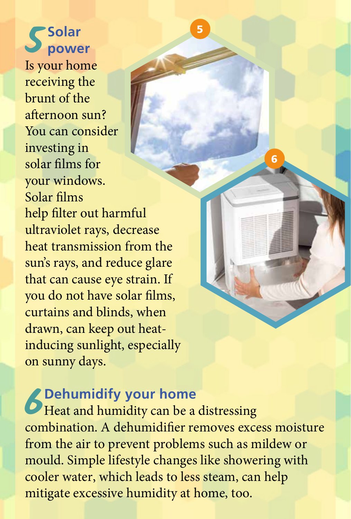**5 Solar power** Is your home receiving the brunt of the afternoon sun? You can consider investing in solar films for your windows. Solar films help filter out harmful ultraviolet rays, decrease heat transmission from the sun's rays, and reduce glare that can cause eye strain. If you do not have solar films, curtains and blinds, when drawn, can keep out heatinducing sunlight, especially on sunny days.

**6Dehumidify your home**<br>**6Heat and humidity can be a**<br>**combination** A dehumidifier re Heat and humidity can be a distressing combination. A dehumidifier removes excess moisture from the air to prevent problems such as mildew or mould. Simple lifestyle changes like showering with cooler water, which leads to less steam, can help mitigate excessive humidity at home, too.

5

6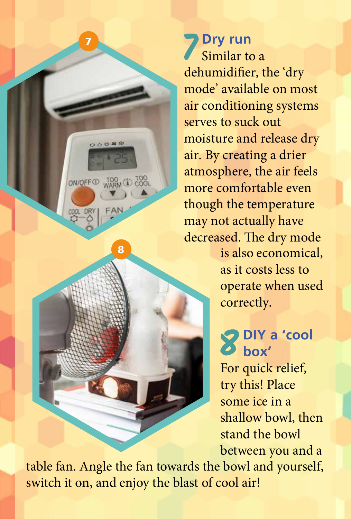**7 Dry run** Similar to a dehumidifier, the 'dry mode' available on most air conditioning systems serves to suck out moisture and release dry air. By creating a drier atmosphere, the air feels more comfortable even though the temperature may not actually have decreased. The dry mode is also economical, as it costs less to

operate when used correctly.

# **8 DIY a 'cool box'**

For quick relief, try this! Place some ice in a shallow bowl, then stand the bowl between you and a

table fan. Angle the fan towards the bowl and yourself, switch it on, and enjoy the blast of cool air!

8

ON/OFF<sup>O</sup> WARM (D TOOL

7